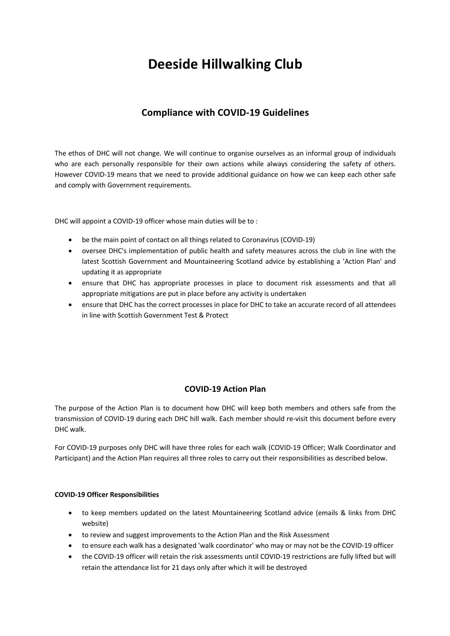# **Deeside Hillwalking Club**

## **Compliance with COVID-19 Guidelines**

The ethos of DHC will not change. We will continue to organise ourselves as an informal group of individuals who are each personally responsible for their own actions while always considering the safety of others. However COVID-19 means that we need to provide additional guidance on how we can keep each other safe and comply with Government requirements.

DHC will appoint a COVID-19 officer whose main duties will be to :

- be the main point of contact on all things related to Coronavirus (COVID-19)
- oversee DHC's implementation of public health and safety measures across the club in line with the latest Scottish Government and Mountaineering Scotland advice by establishing a 'Action Plan' and updating it as appropriate
- ensure that DHC has appropriate processes in place to document risk assessments and that all appropriate mitigations are put in place before any activity is undertaken
- ensure that DHC has the correct processes in place for DHC to take an accurate record of all attendees in line with Scottish Government Test & Protect

### **COVID-19 Action Plan**

The purpose of the Action Plan is to document how DHC will keep both members and others safe from the transmission of COVID-19 during each DHC hill walk. Each member should re-visit this document before every DHC walk.

For COVID-19 purposes only DHC will have three roles for each walk (COVID-19 Officer; Walk Coordinator and Participant) and the Action Plan requires all three roles to carry out their responsibilities as described below.

#### **COVID-19 Officer Responsibilities**

- to keep members updated on the latest Mountaineering Scotland advice (emails & links from DHC website)
- to review and suggest improvements to the Action Plan and the Risk Assessment
- to ensure each walk has a designated 'walk coordinator' who may or may not be the COVID-19 officer
- the COVID-19 officer will retain the risk assessments until COVID-19 restrictions are fully lifted but will retain the attendance list for 21 days only after which it will be destroyed